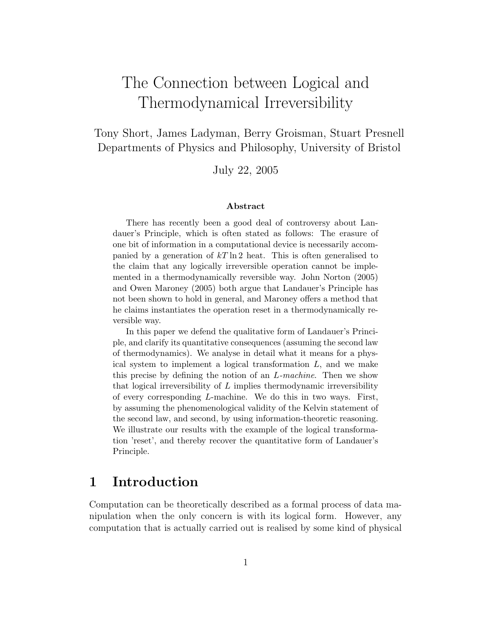# The Connection between Logical and Thermodynamical Irreversibility

Tony Short, James Ladyman, Berry Groisman, Stuart Presnell Departments of Physics and Philosophy, University of Bristol

July 22, 2005

#### Abstract

There has recently been a good deal of controversy about Landauer's Principle, which is often stated as follows: The erasure of one bit of information in a computational device is necessarily accompanied by a generation of  $kT \ln 2$  heat. This is often generalised to the claim that any logically irreversible operation cannot be implemented in a thermodynamically reversible way. John Norton (2005) and Owen Maroney (2005) both argue that Landauer's Principle has not been shown to hold in general, and Maroney offers a method that he claims instantiates the operation reset in a thermodynamically reversible way.

In this paper we defend the qualitative form of Landauer's Principle, and clarify its quantitative consequences (assuming the second law of thermodynamics). We analyse in detail what it means for a physical system to implement a logical transformation  $L$ , and we make this precise by defining the notion of an L-machine. Then we show that logical irreversibility of  $L$  implies thermodynamic irreversibility of every corresponding L-machine. We do this in two ways. First, by assuming the phenomenological validity of the Kelvin statement of the second law, and second, by using information-theoretic reasoning. We illustrate our results with the example of the logical transformation 'reset', and thereby recover the quantitative form of Landauer's Principle.

#### 1 Introduction

Computation can be theoretically described as a formal process of data manipulation when the only concern is with its logical form. However, any computation that is actually carried out is realised by some kind of physical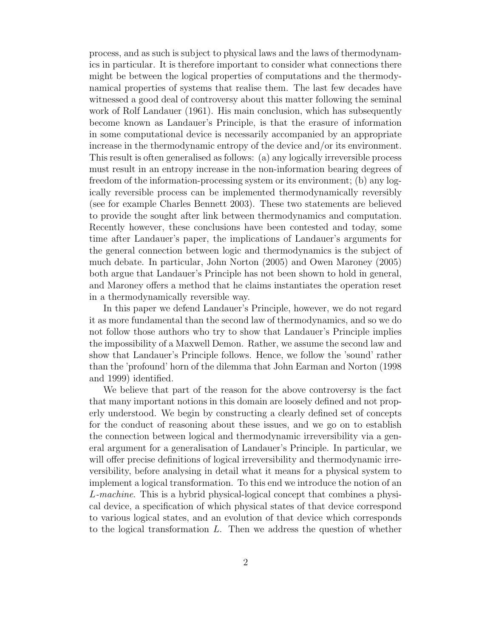process, and as such is subject to physical laws and the laws of thermodynamics in particular. It is therefore important to consider what connections there might be between the logical properties of computations and the thermodynamical properties of systems that realise them. The last few decades have witnessed a good deal of controversy about this matter following the seminal work of Rolf Landauer (1961). His main conclusion, which has subsequently become known as Landauer's Principle, is that the erasure of information in some computational device is necessarily accompanied by an appropriate increase in the thermodynamic entropy of the device and/or its environment. This result is often generalised as follows: (a) any logically irreversible process must result in an entropy increase in the non-information bearing degrees of freedom of the information-processing system or its environment; (b) any logically reversible process can be implemented thermodynamically reversibly (see for example Charles Bennett 2003). These two statements are believed to provide the sought after link between thermodynamics and computation. Recently however, these conclusions have been contested and today, some time after Landauer's paper, the implications of Landauer's arguments for the general connection between logic and thermodynamics is the subject of much debate. In particular, John Norton (2005) and Owen Maroney (2005) both argue that Landauer's Principle has not been shown to hold in general, and Maroney offers a method that he claims instantiates the operation reset in a thermodynamically reversible way.

In this paper we defend Landauer's Principle, however, we do not regard it as more fundamental than the second law of thermodynamics, and so we do not follow those authors who try to show that Landauer's Principle implies the impossibility of a Maxwell Demon. Rather, we assume the second law and show that Landauer's Principle follows. Hence, we follow the 'sound' rather than the 'profound' horn of the dilemma that John Earman and Norton (1998 and 1999) identified.

We believe that part of the reason for the above controversy is the fact that many important notions in this domain are loosely defined and not properly understood. We begin by constructing a clearly defined set of concepts for the conduct of reasoning about these issues, and we go on to establish the connection between logical and thermodynamic irreversibility via a general argument for a generalisation of Landauer's Principle. In particular, we will offer precise definitions of logical irreversibility and thermodynamic irreversibility, before analysing in detail what it means for a physical system to implement a logical transformation. To this end we introduce the notion of an L-machine. This is a hybrid physical-logical concept that combines a physical device, a specification of which physical states of that device correspond to various logical states, and an evolution of that device which corresponds to the logical transformation L. Then we address the question of whether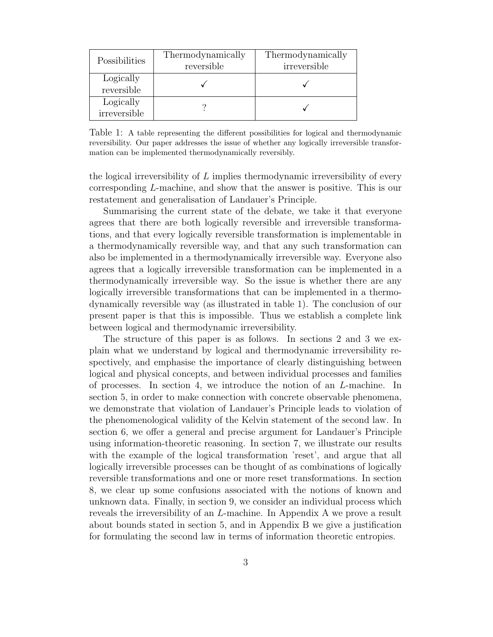| Possibilities             | Thermodynamically<br>reversible | Thermodynamically<br>irreversible |
|---------------------------|---------------------------------|-----------------------------------|
| Logically<br>reversible   |                                 |                                   |
| Logically<br>irreversible |                                 |                                   |

Table 1: A table representing the different possibilities for logical and thermodynamic reversibility. Our paper addresses the issue of whether any logically irreversible transformation can be implemented thermodynamically reversibly.

the logical irreversibility of  $L$  implies thermodynamic irreversibility of every corresponding L-machine, and show that the answer is positive. This is our restatement and generalisation of Landauer's Principle.

Summarising the current state of the debate, we take it that everyone agrees that there are both logically reversible and irreversible transformations, and that every logically reversible transformation is implementable in a thermodynamically reversible way, and that any such transformation can also be implemented in a thermodynamically irreversible way. Everyone also agrees that a logically irreversible transformation can be implemented in a thermodynamically irreversible way. So the issue is whether there are any logically irreversible transformations that can be implemented in a thermodynamically reversible way (as illustrated in table 1). The conclusion of our present paper is that this is impossible. Thus we establish a complete link between logical and thermodynamic irreversibility.

The structure of this paper is as follows. In sections 2 and 3 we explain what we understand by logical and thermodynamic irreversibility respectively, and emphasise the importance of clearly distinguishing between logical and physical concepts, and between individual processes and families of processes. In section 4, we introduce the notion of an L-machine. In section 5, in order to make connection with concrete observable phenomena, we demonstrate that violation of Landauer's Principle leads to violation of the phenomenological validity of the Kelvin statement of the second law. In section 6, we offer a general and precise argument for Landauer's Principle using information-theoretic reasoning. In section 7, we illustrate our results with the example of the logical transformation 'reset', and argue that all logically irreversible processes can be thought of as combinations of logically reversible transformations and one or more reset transformations. In section 8, we clear up some confusions associated with the notions of known and unknown data. Finally, in section 9, we consider an individual process which reveals the irreversibility of an L-machine. In Appendix A we prove a result about bounds stated in section 5, and in Appendix B we give a justification for formulating the second law in terms of information theoretic entropies.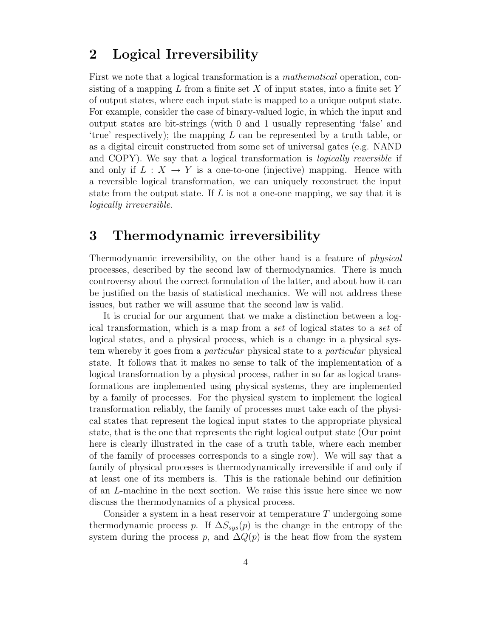#### 2 Logical Irreversibility

First we note that a logical transformation is a mathematical operation, consisting of a mapping  $L$  from a finite set  $X$  of input states, into a finite set  $Y$ of output states, where each input state is mapped to a unique output state. For example, consider the case of binary-valued logic, in which the input and output states are bit-strings (with 0 and 1 usually representing 'false' and 'true' respectively); the mapping  $L$  can be represented by a truth table, or as a digital circuit constructed from some set of universal gates (e.g. NAND and COPY). We say that a logical transformation is *logically reversible* if and only if  $L : X \to Y$  is a one-to-one (injective) mapping. Hence with a reversible logical transformation, we can uniquely reconstruct the input state from the output state. If  $L$  is not a one-one mapping, we say that it is logically irreversible.

#### 3 Thermodynamic irreversibility

Thermodynamic irreversibility, on the other hand is a feature of physical processes, described by the second law of thermodynamics. There is much controversy about the correct formulation of the latter, and about how it can be justified on the basis of statistical mechanics. We will not address these issues, but rather we will assume that the second law is valid.

It is crucial for our argument that we make a distinction between a logical transformation, which is a map from a set of logical states to a set of logical states, and a physical process, which is a change in a physical system whereby it goes from a particular physical state to a particular physical state. It follows that it makes no sense to talk of the implementation of a logical transformation by a physical process, rather in so far as logical transformations are implemented using physical systems, they are implemented by a family of processes. For the physical system to implement the logical transformation reliably, the family of processes must take each of the physical states that represent the logical input states to the appropriate physical state, that is the one that represents the right logical output state (Our point here is clearly illustrated in the case of a truth table, where each member of the family of processes corresponds to a single row). We will say that a family of physical processes is thermodynamically irreversible if and only if at least one of its members is. This is the rationale behind our definition of an L-machine in the next section. We raise this issue here since we now discuss the thermodynamics of a physical process.

Consider a system in a heat reservoir at temperature  $T$  undergoing some thermodynamic process p. If  $\Delta S_{sys}(p)$  is the change in the entropy of the system during the process p, and  $\Delta Q(p)$  is the heat flow from the system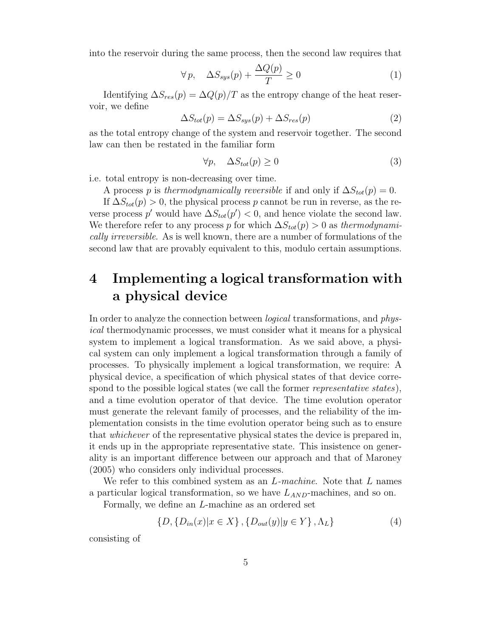into the reservoir during the same process, then the second law requires that

$$
\forall p, \quad \Delta S_{sys}(p) + \frac{\Delta Q(p)}{T} \ge 0 \tag{1}
$$

Identifying  $\Delta S_{res}(p) = \Delta Q(p)/T$  as the entropy change of the heat reservoir, we define

$$
\Delta S_{tot}(p) = \Delta S_{sys}(p) + \Delta S_{res}(p)
$$
\n(2)

as the total entropy change of the system and reservoir together. The second law can then be restated in the familiar form

$$
\forall p, \quad \Delta S_{tot}(p) \ge 0 \tag{3}
$$

i.e. total entropy is non-decreasing over time.

A process p is thermodynamically reversible if and only if  $\Delta S_{tot}(p) = 0$ .

If  $\Delta S_{tot}(p) > 0$ , the physical process p cannot be run in reverse, as the reverse process p' would have  $\Delta S_{tot}(p') < 0$ , and hence violate the second law. We therefore refer to any process p for which  $\Delta S_{tot}(p) > 0$  as thermodynamically irreversible. As is well known, there are a number of formulations of the second law that are provably equivalent to this, modulo certain assumptions.

## 4 Implementing a logical transformation with a physical device

In order to analyze the connection between logical transformations, and physical thermodynamic processes, we must consider what it means for a physical system to implement a logical transformation. As we said above, a physical system can only implement a logical transformation through a family of processes. To physically implement a logical transformation, we require: A physical device, a specification of which physical states of that device correspond to the possible logical states (we call the former *representative states*), and a time evolution operator of that device. The time evolution operator must generate the relevant family of processes, and the reliability of the implementation consists in the time evolution operator being such as to ensure that whichever of the representative physical states the device is prepared in, it ends up in the appropriate representative state. This insistence on generality is an important difference between our approach and that of Maroney (2005) who considers only individual processes.

We refer to this combined system as an  $L$ -machine. Note that  $L$  names a particular logical transformation, so we have  $L_{AND}$ -machines, and so on.

Formally, we define an L-machine as an ordered set

$$
\{D, \{D_{in}(x)|x \in X\}, \{D_{out}(y)|y \in Y\}, \Lambda_L\}
$$
\n(4)

consisting of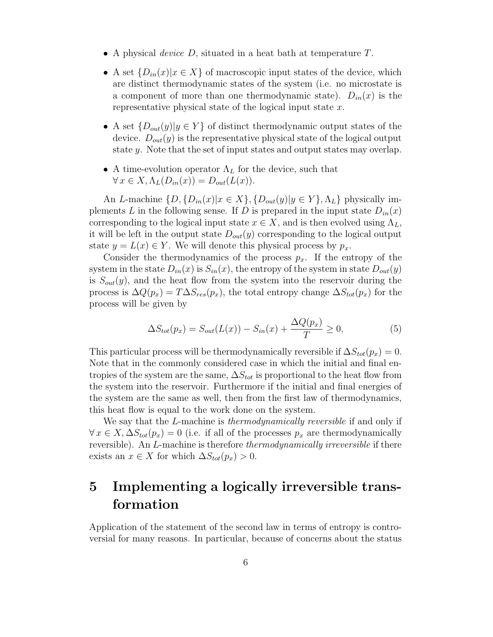- A physical *device*  $D$ , situated in a heat bath at temperature  $T$ .
- A set  $\{D_{in}(x)|x \in X\}$  of macroscopic input states of the device, which are distinct thermodynamic states of the system (i.e. no microstate is a component of more than one thermodynamic state).  $D_{in}(x)$  is the representative physical state of the logical input state x.
- A set  $\{D_{out}(y)|y \in Y\}$  of distinct thermodynamic output states of the device.  $D_{out}(y)$  is the representative physical state of the logical output state y. Note that the set of input states and output states may overlap.
- A time-evolution operator  $\Lambda_L$  for the device, such that  $\forall x \in X, \Lambda_L(D_{in}(x)) = D_{out}(L(x)).$

An L-machine  $\{D, \{D_{in}(x)|x \in X\}, \{D_{out}(y)|y \in Y\}, \Lambda_L\}$  physically implements L in the following sense. If D is prepared in the input state  $D_{in}(x)$ corresponding to the logical input state  $x \in X$ , and is then evolved using  $\Lambda_L$ , it will be left in the output state  $D_{out}(y)$  corresponding to the logical output state  $y = L(x) \in Y$ . We will denote this physical process by  $p_x$ .

Consider the thermodynamics of the process  $p_x$ . If the entropy of the system in the state  $D_{in}(x)$  is  $S_{in}(x)$ , the entropy of the system in state  $D_{out}(y)$ is  $S_{out}(y)$ , and the heat flow from the system into the reservoir during the process is  $\Delta Q(p_x) = T \Delta S_{res}(p_x)$ , the total entropy change  $\Delta S_{tot}(p_x)$  for the process will be given by

$$
\Delta S_{tot}(p_x) = S_{out}(L(x)) - S_{in}(x) + \frac{\Delta Q(p_x)}{T} \ge 0,
$$
\n(5)

This particular process will be thermodynamically reversible if  $\Delta S_{tot}(p_x) = 0$ . Note that in the commonly considered case in which the initial and final entropies of the system are the same,  $\Delta S_{tot}$  is proportional to the heat flow from the system into the reservoir. Furthermore if the initial and final energies of the system are the same as well, then from the first law of thermodynamics, this heat flow is equal to the work done on the system.

We say that the *L*-machine is *thermodynamically reversible* if and only if  $\forall x \in X, \Delta S_{tot}(p_x) = 0$  (i.e. if all of the processes  $p_x$  are thermodynamically reversible). An *L*-machine is therefore *thermodynamically irreversible* if there exists an  $x \in X$  for which  $\Delta S_{tot}(p_x) > 0$ .

# 5 Implementing a logically irreversible transformation

Application of the statement of the second law in terms of entropy is controversial for many reasons. In particular, because of concerns about the status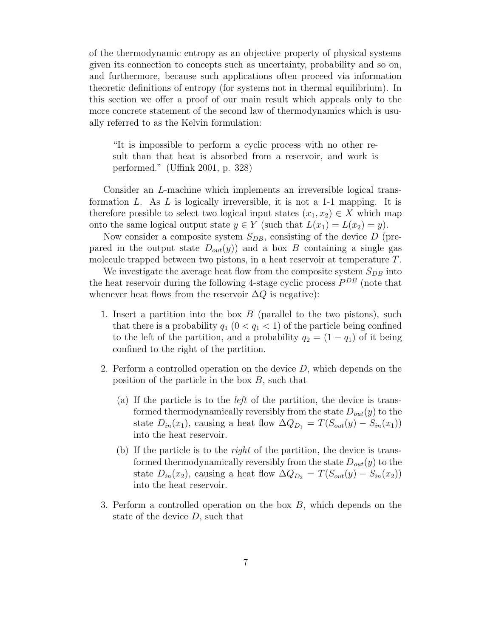of the thermodynamic entropy as an objective property of physical systems given its connection to concepts such as uncertainty, probability and so on, and furthermore, because such applications often proceed via information theoretic definitions of entropy (for systems not in thermal equilibrium). In this section we offer a proof of our main result which appeals only to the more concrete statement of the second law of thermodynamics which is usually referred to as the Kelvin formulation:

"It is impossible to perform a cyclic process with no other result than that heat is absorbed from a reservoir, and work is performed." (Uffink 2001, p. 328)

Consider an L-machine which implements an irreversible logical transformation L. As L is logically irreversible, it is not a 1-1 mapping. It is therefore possible to select two logical input states  $(x_1, x_2) \in X$  which map onto the same logical output state  $y \in Y$  (such that  $L(x_1) = L(x_2) = y$ ).

Now consider a composite system  $S_{DB}$ , consisting of the device D (prepared in the output state  $D_{out}(y)$  and a box B containing a single gas molecule trapped between two pistons, in a heat reservoir at temperature T.

We investigate the average heat flow from the composite system  $S_{DR}$  into the heat reservoir during the following 4-stage cyclic process  $P^{DB}$  (note that whenever heat flows from the reservoir  $\Delta Q$  is negative):

- 1. Insert a partition into the box  $B$  (parallel to the two pistons), such that there is a probability  $q_1$   $(0 < q_1 < 1)$  of the particle being confined to the left of the partition, and a probability  $q_2 = (1 - q_1)$  of it being confined to the right of the partition.
- 2. Perform a controlled operation on the device  $D$ , which depends on the position of the particle in the box  $B$ , such that
	- (a) If the particle is to the left of the partition, the device is transformed thermodynamically reversibly from the state  $D_{out}(y)$  to the state  $D_{in}(x_1)$ , causing a heat flow  $\Delta Q_{D_1} = T(S_{out}(y) - S_{in}(x_1))$ into the heat reservoir.
	- (b) If the particle is to the right of the partition, the device is transformed thermodynamically reversibly from the state  $D_{out}(y)$  to the state  $D_{in}(x_2)$ , causing a heat flow  $\Delta Q_{D_2} = T(S_{out}(y) - S_{in}(x_2))$ into the heat reservoir.
- 3. Perform a controlled operation on the box B, which depends on the state of the device  $D$ , such that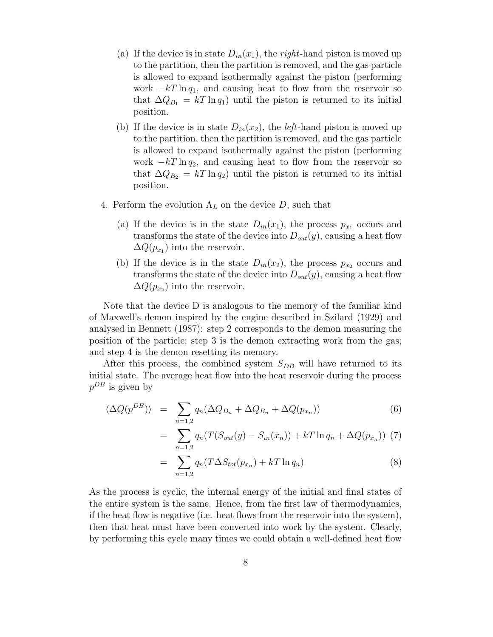- (a) If the device is in state  $D_{in}(x_1)$ , the *right*-hand piston is moved up to the partition, then the partition is removed, and the gas particle is allowed to expand isothermally against the piston (performing work  $-kT \ln q_1$ , and causing heat to flow from the reservoir so that  $\Delta Q_{B_1} = kT \ln q_1$  until the piston is returned to its initial position.
- (b) If the device is in state  $D_{in}(x_2)$ , the *left*-hand piston is moved up to the partition, then the partition is removed, and the gas particle is allowed to expand isothermally against the piston (performing work  $-kT \ln q_2$ , and causing heat to flow from the reservoir so that  $\Delta Q_{B_2} = kT \ln q_2$  until the piston is returned to its initial position.
- 4. Perform the evolution  $\Lambda_L$  on the device D, such that
	- (a) If the device is in the state  $D_{in}(x_1)$ , the process  $p_{x_1}$  occurs and transforms the state of the device into  $D_{out}(y)$ , causing a heat flow  $\Delta Q(p_{x_1})$  into the reservoir.
	- (b) If the device is in the state  $D_{in}(x_2)$ , the process  $p_{x_2}$  occurs and transforms the state of the device into  $D_{out}(y)$ , causing a heat flow  $\Delta Q(p_{x_2})$  into the reservoir.

Note that the device D is analogous to the memory of the familiar kind of Maxwell's demon inspired by the engine described in Szilard (1929) and analysed in Bennett (1987): step 2 corresponds to the demon measuring the position of the particle; step 3 is the demon extracting work from the gas; and step 4 is the demon resetting its memory.

After this process, the combined system  $S_{DB}$  will have returned to its initial state. The average heat flow into the heat reservoir during the process  $p^{DB}$  is given by

$$
\langle \Delta Q(p^{DB}) \rangle = \sum_{n=1,2} q_n (\Delta Q_{D_n} + \Delta Q_{B_n} + \Delta Q(p_{x_n})) \tag{6}
$$

$$
= \sum_{n=1,2} q_n (T(S_{out}(y) - S_{in}(x_n)) + kT \ln q_n + \Delta Q(p_{x_n})) \tag{7}
$$

$$
= \sum_{n=1,2} q_n (T \Delta S_{tot}(p_{x_n}) + kT \ln q_n) \tag{8}
$$

As the process is cyclic, the internal energy of the initial and final states of the entire system is the same. Hence, from the first law of thermodynamics, if the heat flow is negative (i.e. heat flows from the reservoir into the system), then that heat must have been converted into work by the system. Clearly, by performing this cycle many times we could obtain a well-defined heat flow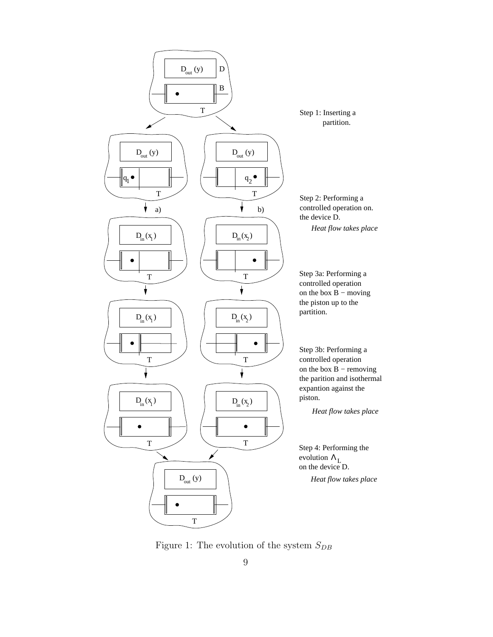

Figure 1: The evolution of the system  $\mathcal{S}_{DB}$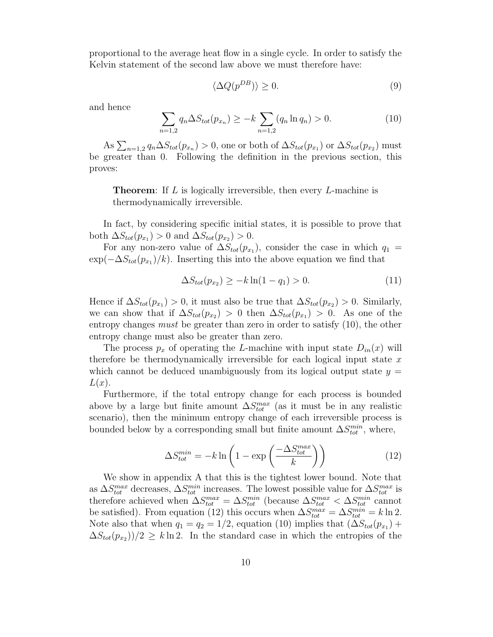proportional to the average heat flow in a single cycle. In order to satisfy the Kelvin statement of the second law above we must therefore have:

$$
\langle \Delta Q(p^{DB}) \rangle \ge 0. \tag{9}
$$

and hence

$$
\sum_{n=1,2} q_n \Delta S_{tot}(p_{x_n}) \ge -k \sum_{n=1,2} (q_n \ln q_n) > 0.
$$
 (10)

As  $\sum_{n=1,2} q_n \Delta S_{tot}(p_{x_n}) > 0$ , one or both of  $\Delta S_{tot}(p_{x_1})$  or  $\Delta S_{tot}(p_{x_2})$  must be greater than 0. Following the definition in the previous section, this proves:

**Theorem:** If L is logically irreversible, then every L-machine is thermodynamically irreversible.

In fact, by considering specific initial states, it is possible to prove that both  $\Delta S_{tot}(p_{x_1}) > 0$  and  $\Delta S_{tot}(p_{x_2}) > 0$ .

For any non-zero value of  $\Delta S_{tot}(p_{x_1})$ , consider the case in which  $q_1 =$  $\exp(-\Delta S_{tot}(p_{x_1})/k)$ . Inserting this into the above equation we find that

$$
\Delta S_{tot}(p_{x_2}) \ge -k \ln(1 - q_1) > 0. \tag{11}
$$

Hence if  $\Delta S_{tot}(p_{x_1}) > 0$ , it must also be true that  $\Delta S_{tot}(p_{x_2}) > 0$ . Similarly, we can show that if  $\Delta S_{tot}(p_{x_2}) > 0$  then  $\Delta S_{tot}(p_{x_1}) > 0$ . As one of the entropy changes must be greater than zero in order to satisfy (10), the other entropy change must also be greater than zero.

The process  $p_x$  of operating the L-machine with input state  $D_{in}(x)$  will therefore be thermodynamically irreversible for each logical input state  $x$ which cannot be deduced unambiguously from its logical output state  $y =$  $L(x)$ .

Furthermore, if the total entropy change for each process is bounded above by a large but finite amount  $\Delta S_{tot}^{max}$  (as it must be in any realistic scenario), then the minimum entropy change of each irreversible process is bounded below by a corresponding small but finite amount  $\Delta S_{tot}^{min}$ , where,

$$
\Delta S_{tot}^{min} = -k \ln \left( 1 - \exp \left( \frac{-\Delta S_{tot}^{max}}{k} \right) \right) \tag{12}
$$

We show in appendix A that this is the tightest lower bound. Note that as  $\Delta S_{tot}^{max}$  decreases,  $\Delta S_{tot}^{min}$  increases. The lowest possible value for  $\Delta S_{tot}^{max}$  is therefore achieved when  $\Delta S_{tot}^{max} = \Delta S_{tot}^{min}$  (because  $\Delta S_{tot}^{max} < \Delta S_{tot}^{min}$  cannot be satisfied). From equation (12) this occurs when  $\Delta S_{tot}^{max} = \Delta S_{tot}^{min} = k \ln 2$ . Note also that when  $q_1 = q_2 = 1/2$ , equation (10) implies that  $(\Delta S_{tot}(p_{x_1}) +$  $\Delta S_{tot}(p_{x2})/2 \geq k \ln 2$ . In the standard case in which the entropies of the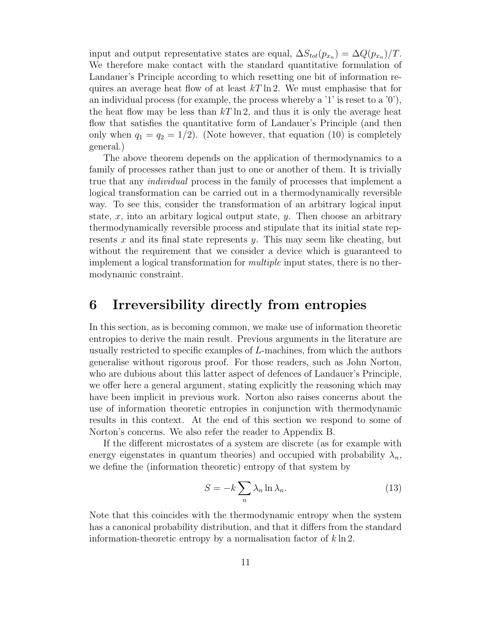input and output representative states are equal,  $\Delta S_{tot}(p_{x_n}) = \Delta Q(p_{x_n})/T$ . We therefore make contact with the standard quantitative formulation of Landauer's Principle according to which resetting one bit of information requires an average heat flow of at least  $kT \ln 2$ . We must emphasise that for an individual process (for example, the process whereby a  $'1'$  is reset to a  $'0'$ ), the heat flow may be less than  $kT \ln 2$ , and thus it is only the average heat flow that satisfies the quantitative form of Landauer's Principle (and then only when  $q_1 = q_2 = 1/2$ . (Note however, that equation (10) is completely general.)

The above theorem depends on the application of thermodynamics to a family of processes rather than just to one or another of them. It is trivially true that any individual process in the family of processes that implement a logical transformation can be carried out in a thermodynamically reversible way. To see this, consider the transformation of an arbitrary logical input state,  $x$ , into an arbitary logical output state,  $y$ . Then choose an arbitrary thermodynamically reversible process and stipulate that its initial state represents x and its final state represents y. This may seem like cheating, but without the requirement that we consider a device which is guaranteed to implement a logical transformation for *multiple* input states, there is no thermodynamic constraint.

#### 6 Irreversibility directly from entropies

In this section, as is becoming common, we make use of information theoretic entropies to derive the main result. Previous arguments in the literature are usually restricted to specific examples of L-machines, from which the authors generalise without rigorous proof. For those readers, such as John Norton, who are dubious about this latter aspect of defences of Landauer's Principle, we offer here a general argument, stating explicitly the reasoning which may have been implicit in previous work. Norton also raises concerns about the use of information theoretic entropies in conjunction with thermodynamic results in this context. At the end of this section we respond to some of Norton's concerns. We also refer the reader to Appendix B.

If the different microstates of a system are discrete (as for example with energy eigenstates in quantum theories) and occupied with probability  $\lambda_n$ , we define the (information theoretic) entropy of that system by

$$
S = -k \sum_{n} \lambda_n \ln \lambda_n.
$$
 (13)

Note that this coincides with the thermodynamic entropy when the system has a canonical probability distribution, and that it differs from the standard information-theoretic entropy by a normalisation factor of  $k \ln 2$ .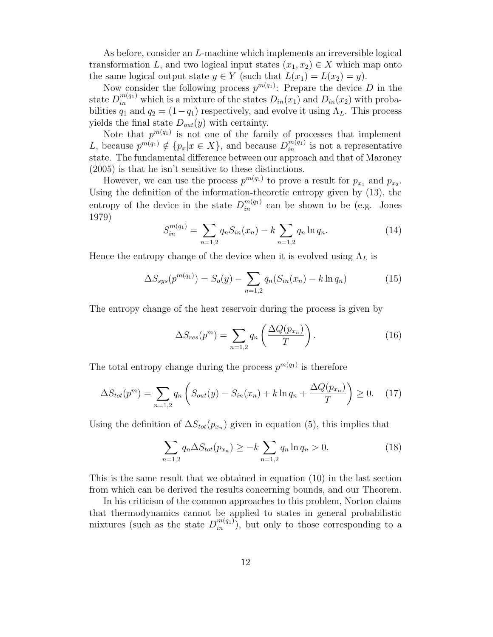As before, consider an L-machine which implements an irreversible logical transformation L, and two logical input states  $(x_1, x_2) \in X$  which map onto the same logical output state  $y \in Y$  (such that  $L(x_1) = L(x_2) = y$ ).

Now consider the following process  $p^{m(q_1)}$ : Prepare the device D in the state  $D_{in}^{m(q_1)}$  which is a mixture of the states  $D_{in}(x_1)$  and  $D_{in}(x_2)$  with probabilities  $q_1$  and  $q_2 = (1-q_1)$  respectively, and evolve it using  $\Lambda_L$ . This process yields the final state  $D_{out}(y)$  with certainty.

Note that  $p^{m(q_1)}$  is not one of the family of processes that implement L, because  $p^{m(q_1)} \notin \{p_x | x \in X\}$ , and because  $D_{in}^{m(q_1)}$  is not a representative state. The fundamental difference between our approach and that of Maroney (2005) is that he isn't sensitive to these distinctions.

However, we can use the process  $p^{m(q_1)}$  to prove a result for  $p_{x_1}$  and  $p_{x_2}$ . Using the definition of the information-theoretic entropy given by (13), the entropy of the device in the state  $D_{in}^{m(q_1)}$  can be shown to be (e.g. Jones 1979)

$$
S_{in}^{m(q_1)} = \sum_{n=1,2} q_n S_{in}(x_n) - k \sum_{n=1,2} q_n \ln q_n.
$$
 (14)

Hence the entropy change of the device when it is evolved using  $\Lambda_L$  is

$$
\Delta S_{sys}(p^{m(q_1)}) = S_o(y) - \sum_{n=1,2} q_n (S_{in}(x_n) - k \ln q_n)
$$
 (15)

The entropy change of the heat reservoir during the process is given by

$$
\Delta S_{res}(p^m) = \sum_{n=1,2} q_n \left( \frac{\Delta Q(p_{x_n})}{T} \right). \tag{16}
$$

The total entropy change during the process  $p^{m(q_1)}$  is therefore

$$
\Delta S_{tot}(p^m) = \sum_{n=1,2} q_n \left( S_{out}(y) - S_{in}(x_n) + k \ln q_n + \frac{\Delta Q(p_{x_n})}{T} \right) \ge 0. \tag{17}
$$

Using the definition of  $\Delta S_{tot}(p_{x_n})$  given in equation (5), this implies that

$$
\sum_{n=1,2} q_n \Delta S_{tot}(p_{x_n}) \ge -k \sum_{n=1,2} q_n \ln q_n > 0.
$$
 (18)

This is the same result that we obtained in equation (10) in the last section from which can be derived the results concerning bounds, and our Theorem.

In his criticism of the common approaches to this problem, Norton claims that thermodynamics cannot be applied to states in general probabilistic mixtures (such as the state  $D_{in}^{m(q_1)}$ ), but only to those corresponding to a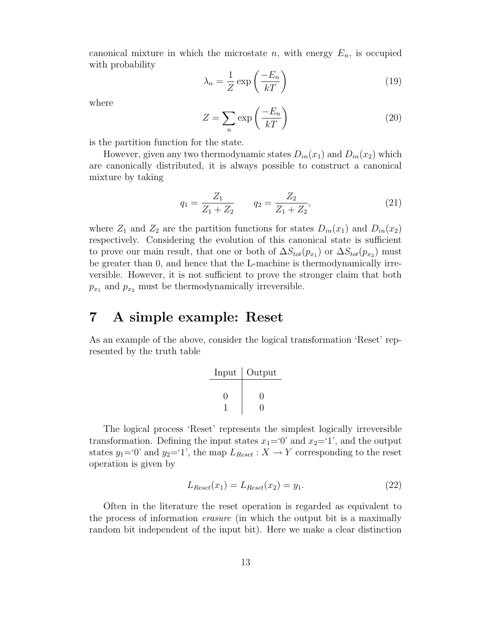canonical mixture in which the microstate n, with energy  $E_n$ , is occupied with probability

$$
\lambda_n = \frac{1}{Z} \exp\left(\frac{-E_n}{kT}\right) \tag{19}
$$

where

$$
Z = \sum_{n} \exp\left(\frac{-E_n}{kT}\right) \tag{20}
$$

is the partition function for the state.

However, given any two thermodynamic states  $D_{in}(x_1)$  and  $D_{in}(x_2)$  which are canonically distributed, it is always possible to construct a canonical mixture by taking

$$
q_1 = \frac{Z_1}{Z_1 + Z_2} \qquad q_2 = \frac{Z_2}{Z_1 + Z_2},\tag{21}
$$

where  $Z_1$  and  $Z_2$  are the partition functions for states  $D_{in}(x_1)$  and  $D_{in}(x_2)$ respectively. Considering the evolution of this canonical state is sufficient to prove our main result, that one or both of  $\Delta S_{tot}(p_{x_1})$  or  $\Delta S_{tot}(p_{x_2})$  must be greater than 0, and hence that the L-machine is thermodynamically irreversible. However, it is not sufficient to prove the stronger claim that both  $p_{x_1}$  and  $p_{x_2}$  must be thermodynamically irreversible.

#### 7 A simple example: Reset

As an example of the above, consider the logical transformation 'Reset' represented by the truth table

| Input | Output |
|-------|--------|
|       |        |
| 11    | וו     |
|       |        |

The logical process 'Reset' represents the simplest logically irreversible transformation. Defining the input states  $x_1=0'$  and  $x_2=1'$ , and the output states  $y_1=0$ ' and  $y_2=1$ ', the map  $L_{Reset}: X \to Y$  corresponding to the reset operation is given by

$$
L_{Reset}(x_1) = L_{Reset}(x_2) = y_1.
$$
\n(22)

Often in the literature the reset operation is regarded as equivalent to the process of information erasure (in which the output bit is a maximally random bit independent of the input bit). Here we make a clear distinction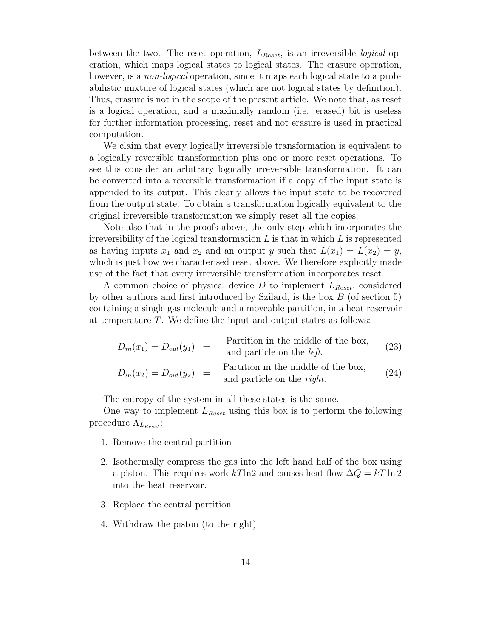between the two. The reset operation,  $L_{Reset}$ , is an irreversible *logical* operation, which maps logical states to logical states. The erasure operation, however, is a *non-logical* operation, since it maps each logical state to a probabilistic mixture of logical states (which are not logical states by definition). Thus, erasure is not in the scope of the present article. We note that, as reset is a logical operation, and a maximally random (i.e. erased) bit is useless for further information processing, reset and not erasure is used in practical computation.

We claim that every logically irreversible transformation is equivalent to a logically reversible transformation plus one or more reset operations. To see this consider an arbitrary logically irreversible transformation. It can be converted into a reversible transformation if a copy of the input state is appended to its output. This clearly allows the input state to be recovered from the output state. To obtain a transformation logically equivalent to the original irreversible transformation we simply reset all the copies.

Note also that in the proofs above, the only step which incorporates the irreversibility of the logical transformation  $L$  is that in which  $L$  is represented as having inputs  $x_1$  and  $x_2$  and an output y such that  $L(x_1) = L(x_2) = y$ , which is just how we characterised reset above. We therefore explicitly made use of the fact that every irreversible transformation incorporates reset.

A common choice of physical device D to implement  $L_{Reset}$ , considered by other authors and first introduced by Szilard, is the box  $B$  (of section 5) containing a single gas molecule and a moveable partition, in a heat reservoir at temperature T. We define the input and output states as follows:

$$
D_{in}(x_1) = D_{out}(y_1) =
$$
 Partition in the middle of the box,  
and particle on the *left*. (23)  

$$
D_{in}(x_2) = D_{out}(y_2) =
$$
Partition in the middle of the box,  
and particle on the *right*. (24)

The entropy of the system in all these states is the same.

One way to implement  $L_{\text{Reset}}$  using this box is to perform the following procedure  $\Lambda_{L_{Reset}}$ :

- 1. Remove the central partition
- 2. Isothermally compress the gas into the left hand half of the box using a piston. This requires work kTln2 and causes heat flow  $\Delta Q = kT \ln 2$ into the heat reservoir.
- 3. Replace the central partition
- 4. Withdraw the piston (to the right)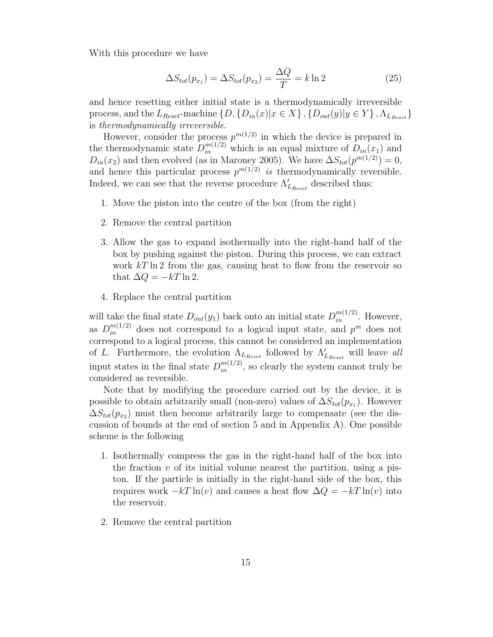With this procedure we have

$$
\Delta S_{tot}(p_{x_1}) = \Delta S_{tot}(p_{x_2}) = \frac{\Delta Q}{T} = k \ln 2 \tag{25}
$$

and hence resetting either initial state is a thermodynamically irreversible process, and the  $L_{Reset}$ -machine  $\{D, \{D_{in}(x)|x \in X\}, \{D_{out}(y)|y \in Y\}, \Lambda_{L_{Reset}}\}$ is thermodynamically irreversible.

However, consider the process  $p^{m(1/2)}$  in which the device is prepared in the thermodynamic state  $D_{in}^{m(1/2)}$  which is an equal mixture of  $D_{in}(x_1)$  and  $D_{in}(x_2)$  and then evolved (as in Maroney 2005). We have  $\Delta S_{tot}(p^{m(1/2)}) = 0$ , and hence this particular process  $p^{m(1/2)}$  is thermodynamically reversible. Indeed, we can see that the reverse procedure  $\Lambda'$  $L_{\text{Reset}}$  described thus:

- 1. Move the piston into the centre of the box (from the right)
- 2. Remove the central partition
- 3. Allow the gas to expand isothermally into the right-hand half of the box by pushing against the piston. During this process, we can extract work  $kT \ln 2$  from the gas, causing heat to flow from the reservoir so that  $\Delta Q = -kT \ln 2$ .
- 4. Replace the central partition

will take the final state  $D_{out}(y_1)$  back onto an initial state  $D_{in}^{m(1/2)}$ . However, as  $D_{in}^{m(1/2)}$  does not correspond to a logical input state, and  $p^m$  does not correspond to a logical process, this cannot be considered an implementation of L. Furthermore, the evolution  $\Lambda_{L_{Reset}}$  followed by  $\Lambda'_{L}$  $L_{\text{Reset}}$  will leave all input states in the final state  $D_{in}^{m(1/2)}$ , so clearly the system cannot truly be considered as reversible.

Note that by modifying the procedure carried out by the device, it is possible to obtain arbitrarily small (non-zero) values of  $\Delta S_{tot}(p_{x_1})$ . However  $\Delta S_{tot}(p_{x_2})$  must then become arbitrarily large to compensate (see the discussion of bounds at the end of section 5 and in Appendix A). One possible scheme is the following

- 1. Isothermally compress the gas in the right-hand half of the box into the fraction  $v$  of its initial volume nearest the partition, using a piston. If the particle is initially in the right-hand side of the box, this requires work  $-kT \ln(v)$  and causes a heat flow  $\Delta Q = -kT \ln(v)$  into the reservoir.
- 2. Remove the central partition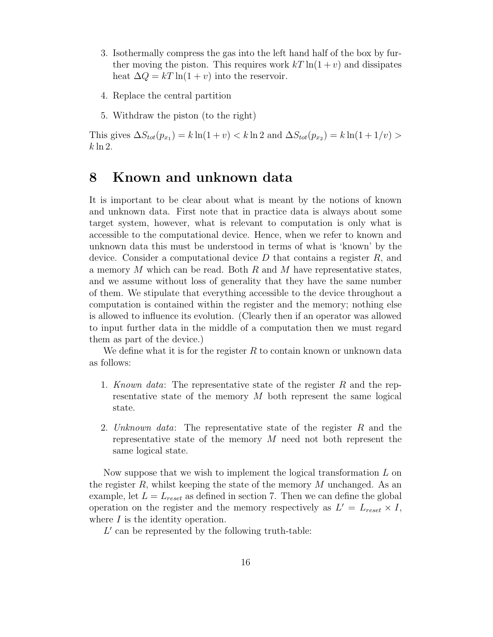- 3. Isothermally compress the gas into the left hand half of the box by further moving the piston. This requires work  $kT \ln(1+v)$  and dissipates heat  $\Delta Q = kT \ln(1 + v)$  into the reservoir.
- 4. Replace the central partition
- 5. Withdraw the piston (to the right)

This gives  $\Delta S_{tot}(p_{x_1}) = k \ln(1+v) < k \ln 2$  and  $\Delta S_{tot}(p_{x_2}) = k \ln(1+1/v) >$  $k \ln 2$ .

#### 8 Known and unknown data

It is important to be clear about what is meant by the notions of known and unknown data. First note that in practice data is always about some target system, however, what is relevant to computation is only what is accessible to the computational device. Hence, when we refer to known and unknown data this must be understood in terms of what is 'known' by the device. Consider a computational device  $D$  that contains a register  $R$ , and a memory  $M$  which can be read. Both  $R$  and  $M$  have representative states, and we assume without loss of generality that they have the same number of them. We stipulate that everything accessible to the device throughout a computation is contained within the register and the memory; nothing else is allowed to influence its evolution. (Clearly then if an operator was allowed to input further data in the middle of a computation then we must regard them as part of the device.)

We define what it is for the register  $R$  to contain known or unknown data as follows:

- 1. Known data: The representative state of the register  $R$  and the representative state of the memory  $M$  both represent the same logical state.
- 2. Unknown data: The representative state of the register R and the representative state of the memory  $M$  need not both represent the same logical state.

Now suppose that we wish to implement the logical transformation  $L$  on the register  $R$ , whilst keeping the state of the memory  $M$  unchanged. As an example, let  $L = L_{reset}$  as defined in section 7. Then we can define the global operation on the register and the memory respectively as  $L' = L_{reset} \times I$ , where I is the identity operation.

 $L'$  can be represented by the following truth-table: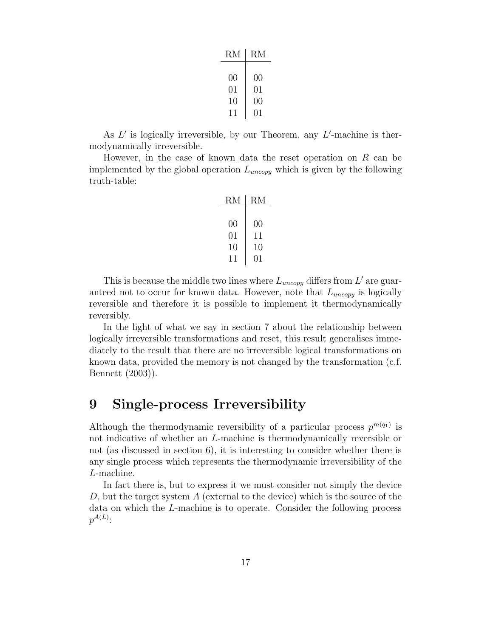| RM |
|----|
|    |
| 00 |
| 01 |
| 00 |
| 01 |
|    |

As  $L'$  is logically irreversible, by our Theorem, any  $L'$ -machine is thermodynamically irreversible.

However, in the case of known data the reset operation on  $R$  can be implemented by the global operation  $L_{uncopy}$  which is given by the following truth-table:

| RM     | RМ |
|--------|----|
|        |    |
| 00     | 00 |
| 01     | 11 |
| $10\,$ | 10 |
| 11     | 01 |

This is because the middle two lines where  $L_{\text{uncopy}}$  differs from  $L'$  are guaranteed not to occur for known data. However, note that  $L_{uncopy}$  is logically reversible and therefore it is possible to implement it thermodynamically reversibly.

In the light of what we say in section 7 about the relationship between logically irreversible transformations and reset, this result generalises immediately to the result that there are no irreversible logical transformations on known data, provided the memory is not changed by the transformation (c.f. Bennett (2003)).

#### 9 Single-process Irreversibility

Although the thermodynamic reversibility of a particular process  $p^{m(q_1)}$  is not indicative of whether an L-machine is thermodynamically reversible or not (as discussed in section 6), it is interesting to consider whether there is any single process which represents the thermodynamic irreversibility of the L-machine.

In fact there is, but to express it we must consider not simply the device D, but the target system  $A$  (external to the device) which is the source of the data on which the L-machine is to operate. Consider the following process  $p^{A(L)}$  :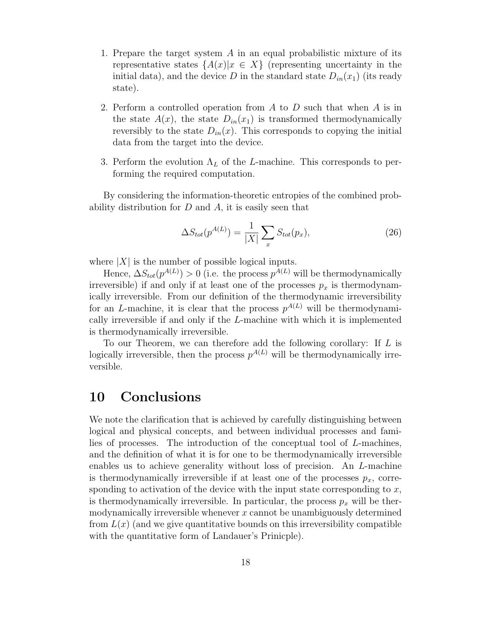- 1. Prepare the target system A in an equal probabilistic mixture of its representative states  $\{A(x)|x \in X\}$  (representing uncertainty in the initial data), and the device D in the standard state  $D_{in}(x_1)$  (its ready state).
- 2. Perform a controlled operation from  $A$  to  $D$  such that when  $A$  is in the state  $A(x)$ , the state  $D_{in}(x_1)$  is transformed thermodynamically reversibly to the state  $D_{in}(x)$ . This corresponds to copying the initial data from the target into the device.
- 3. Perform the evolution  $\Lambda_L$  of the L-machine. This corresponds to performing the required computation.

By considering the information-theoretic entropies of the combined probability distribution for  $D$  and  $A$ , it is easily seen that

$$
\Delta S_{tot}(p^{A(L)}) = \frac{1}{|X|} \sum_{x} S_{tot}(p_x),\tag{26}
$$

where  $|X|$  is the number of possible logical inputs.

Hence,  $\Delta S_{tot}(p^{A(L)}) > 0$  (i.e. the process  $p^{A(L)}$  will be thermodynamically irreversible) if and only if at least one of the processes  $p_x$  is thermodynamically irreversible. From our definition of the thermodynamic irreversibility for an L-machine, it is clear that the process  $p^{A(L)}$  will be thermodynamically irreversible if and only if the L-machine with which it is implemented is thermodynamically irreversible.

To our Theorem, we can therefore add the following corollary: If L is logically irreversible, then the process  $p^{A(L)}$  will be thermodynamically irreversible.

#### 10 Conclusions

We note the clarification that is achieved by carefully distinguishing between logical and physical concepts, and between individual processes and families of processes. The introduction of the conceptual tool of L-machines, and the definition of what it is for one to be thermodynamically irreversible enables us to achieve generality without loss of precision. An L-machine is thermodynamically irreversible if at least one of the processes  $p_x$ , corresponding to activation of the device with the input state corresponding to  $x$ , is thermodynamically irreversible. In particular, the process  $p_x$  will be thermodynamically irreversible whenever  $x$  cannot be unambiguously determined from  $L(x)$  (and we give quantitative bounds on this irreversibility compatible with the quantitative form of Landauer's Prinicple).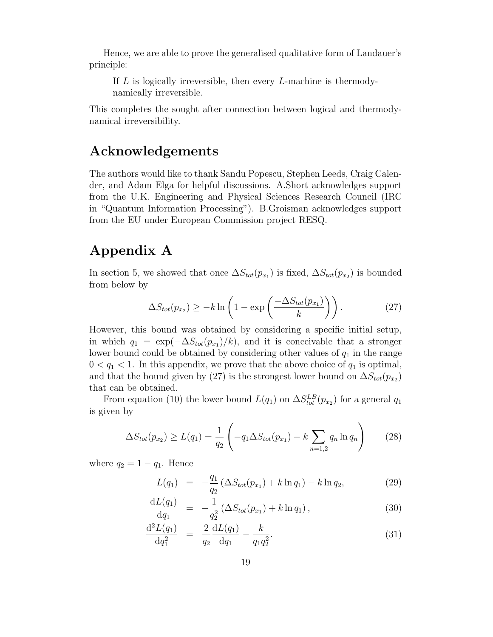Hence, we are able to prove the generalised qualitative form of Landauer's principle:

If  $L$  is logically irreversible, then every  $L$ -machine is thermodynamically irreversible.

This completes the sought after connection between logical and thermodynamical irreversibility.

#### Acknowledgements

The authors would like to thank Sandu Popescu, Stephen Leeds, Craig Calender, and Adam Elga for helpful discussions. A.Short acknowledges support from the U.K. Engineering and Physical Sciences Research Council (IRC in "Quantum Information Processing"). B.Groisman acknowledges support from the EU under European Commission project RESQ.

### Appendix A

In section 5, we showed that once  $\Delta S_{tot}(p_{x_1})$  is fixed,  $\Delta S_{tot}(p_{x_2})$  is bounded from below by

$$
\Delta S_{tot}(p_{x_2}) \geq -k \ln \left( 1 - \exp \left( \frac{-\Delta S_{tot}(p_{x_1})}{k} \right) \right). \tag{27}
$$

However, this bound was obtained by considering a specific initial setup, in which  $q_1 = \exp(-\Delta S_{tot}(p_{x_1})/k)$ , and it is conceivable that a stronger lower bound could be obtained by considering other values of  $q_1$  in the range  $0 < q_1 < 1$ . In this appendix, we prove that the above choice of  $q_1$  is optimal, and that the bound given by (27) is the strongest lower bound on  $\Delta S_{tot}(p_{x2})$ that can be obtained.

From equation (10) the lower bound  $L(q_1)$  on  $\Delta S_{tot}^{LB}(p_{x_2})$  for a general  $q_1$ is given by

$$
\Delta S_{tot}(p_{x_2}) \ge L(q_1) = \frac{1}{q_2} \left( -q_1 \Delta S_{tot}(p_{x_1}) - k \sum_{n=1,2} q_n \ln q_n \right) \tag{28}
$$

where  $q_2 = 1 - q_1$ . Hence

$$
L(q_1) = -\frac{q_1}{q_2} \left( \Delta S_{tot}(p_{x_1}) + k \ln q_1 \right) - k \ln q_2, \tag{29}
$$

$$
\frac{\mathrm{d}L(q_1)}{\mathrm{d}q_1} = -\frac{1}{q_2^2} \left( \Delta S_{tot}(p_{x_1}) + k \ln q_1 \right),\tag{30}
$$

$$
\frac{\mathrm{d}^2 L(q_1)}{\mathrm{d}q_1^2} = \frac{2}{q_2} \frac{\mathrm{d}L(q_1)}{\mathrm{d}q_1} - \frac{k}{q_1 q_2^2}.
$$
\n(31)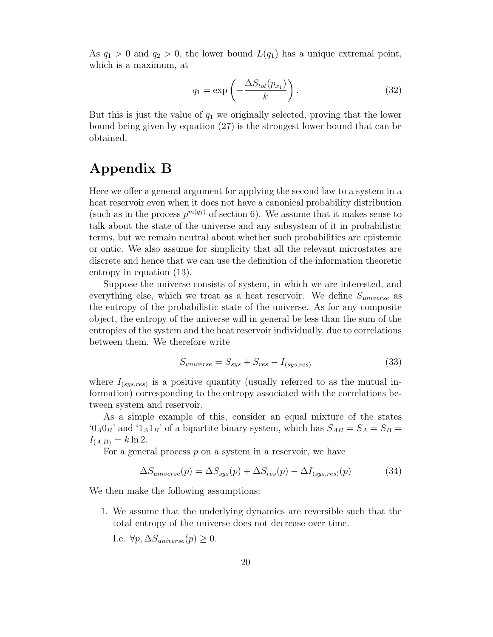As  $q_1 > 0$  and  $q_2 > 0$ , the lower bound  $L(q_1)$  has a unique extremal point, which is a maximum, at

$$
q_1 = \exp\left(-\frac{\Delta S_{tot}(p_{x_1})}{k}\right). \tag{32}
$$

But this is just the value of  $q_1$  we originally selected, proving that the lower bound being given by equation (27) is the strongest lower bound that can be obtained.

#### Appendix B

Here we offer a general argument for applying the second law to a system in a heat reservoir even when it does not have a canonical probability distribution (such as in the process  $p^{m(q_1)}$  of section 6). We assume that it makes sense to talk about the state of the universe and any subsystem of it in probabilistic terms, but we remain neutral about whether such probabilities are epistemic or ontic. We also assume for simplicity that all the relevant microstates are discrete and hence that we can use the definition of the information theoretic entropy in equation (13).

Suppose the universe consists of system, in which we are interested, and everything else, which we treat as a heat reservoir. We define  $S_{universe}$  as the entropy of the probabilistic state of the universe. As for any composite object, the entropy of the universe will in general be less than the sum of the entropies of the system and the heat reservoir individually, due to correlations between them. We therefore write

$$
S_{universe} = S_{sys} + S_{res} - I_{(sys, res)}
$$
\n
$$
(33)
$$

where  $I_{(sys, res)}$  is a positive quantity (usually referred to as the mutual information) corresponding to the entropy associated with the correlations between system and reservoir.

As a simple example of this, consider an equal mixture of the states  $^0A_0O_B$ ' and  $^1A_1B_$ ' of a bipartite binary system, which has  $S_{AB} = S_A = S_B =$  $I_{(A,B)} = k \ln 2.$ 

For a general process  $p$  on a system in a reservoir, we have

$$
\Delta S_{universe}(p) = \Delta S_{sys}(p) + \Delta S_{res}(p) - \Delta I_{(sys, res)}(p) \tag{34}
$$

We then make the following assumptions:

1. We assume that the underlying dynamics are reversible such that the total entropy of the universe does not decrease over time.

I.e.  $\forall p, \Delta S_{universe}(p) \geq 0$ .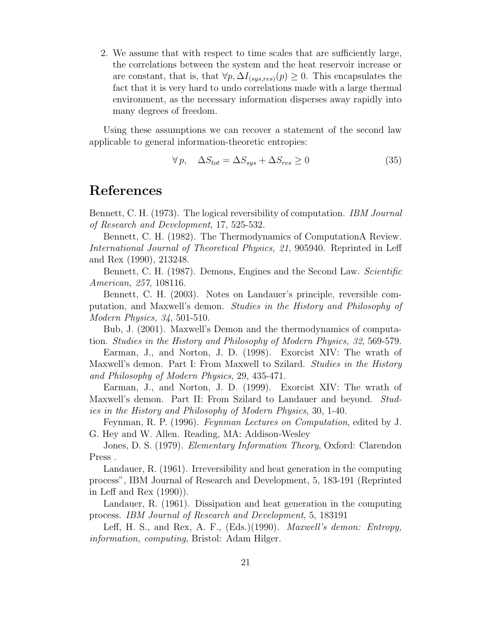2. We assume that with respect to time scales that are sufficiently large, the correlations between the system and the heat reservoir increase or are constant, that is, that  $\forall p, \Delta I_{(sus, res)}(p) \geq 0$ . This encapsulates the fact that it is very hard to undo correlations made with a large thermal environment, as the necessary information disperses away rapidly into many degrees of freedom.

Using these assumptions we can recover a statement of the second law applicable to general information-theoretic entropies:

$$
\forall p, \quad \Delta S_{tot} = \Delta S_{sys} + \Delta S_{res} \ge 0 \tag{35}
$$

#### References

Bennett, C. H. (1973). The logical reversibility of computation. IBM Journal of Research and Development, 17, 525-532.

Bennett, C. H. (1982). The Thermodynamics of ComputationA Review. International Journal of Theoretical Physics, 21, 905940. Reprinted in Leff and Rex (1990), 213248.

Bennett, C. H. (1987). Demons, Engines and the Second Law. Scientific American, 257, 108116.

Bennett, C. H. (2003). Notes on Landauer's principle, reversible computation, and Maxwell's demon. Studies in the History and Philosophy of Modern Physics, 34, 501-510.

Bub, J. (2001). Maxwell's Demon and the thermodynamics of computation. Studies in the History and Philosophy of Modern Physics, 32, 569-579.

Earman, J., and Norton, J. D. (1998). Exorcist XIV: The wrath of Maxwell's demon. Part I: From Maxwell to Szilard. Studies in the History and Philosophy of Modern Physics, 29, 435-471.

Earman, J., and Norton, J. D. (1999). Exorcist XIV: The wrath of Maxwell's demon. Part II: From Szilard to Landauer and beyond. Studies in the History and Philosophy of Modern Physics, 30, 1-40.

Feynman, R. P. (1996). Feynman Lectures on Computation, edited by J. G. Hey and W. Allen. Reading, MA: Addison-Wesley

Jones, D. S. (1979). Elementary Information Theory, Oxford: Clarendon Press .

Landauer, R. (1961). Irreversibility and heat generation in the computing process", IBM Journal of Research and Development, 5, 183-191 (Reprinted in Leff and Rex (1990)).

Landauer, R. (1961). Dissipation and heat generation in the computing process. IBM Journal of Research and Development, 5, 183191

Leff, H. S., and Rex, A. F., (Eds.)(1990). *Maxwell's demon: Entropy*, information, computing, Bristol: Adam Hilger.